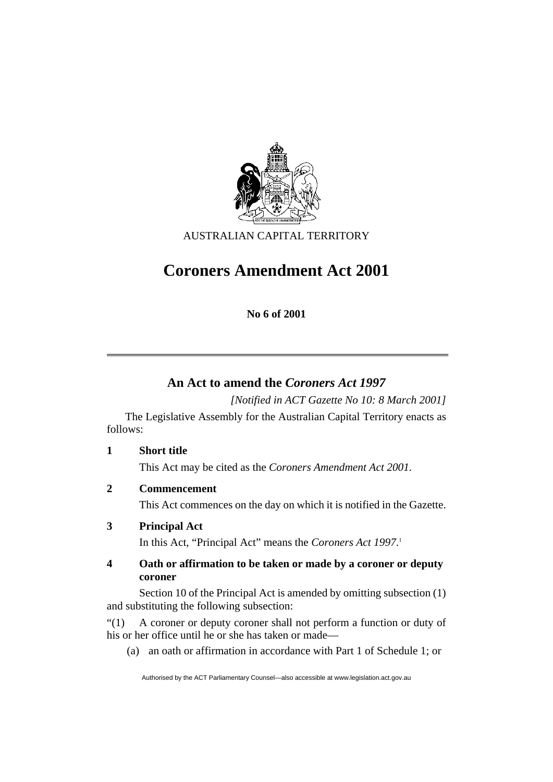

AUSTRALIAN CAPITAL TERRITORY

# **Coroners Amendment Act 2001**

**No 6 of 2001** 

## **An Act to amend the** *Coroners Act 1997*

*[Notified in ACT Gazette No 10: 8 March 2001]* 

 The Legislative Assembly for the Australian Capital Territory enacts as follows:

**1 Short title**  This Act may be cited as the *Coroners Amendment Act 2001.*

**2 Commencement** 

This Act commences on the day on which it is notified in the Gazette.

## **3 Principal Act**

In this Act, "Principal Act" means the *Coroners Act 1997*. 1

## **4 Oath or affirmation to be taken or made by a coroner or deputy coroner**

 Section 10 of the Principal Act is amended by omitting subsection (1) and substituting the following subsection:

"(1) A coroner or deputy coroner shall not perform a function or duty of his or her office until he or she has taken or made—

(a) an oath or affirmation in accordance with Part 1 of Schedule 1; or